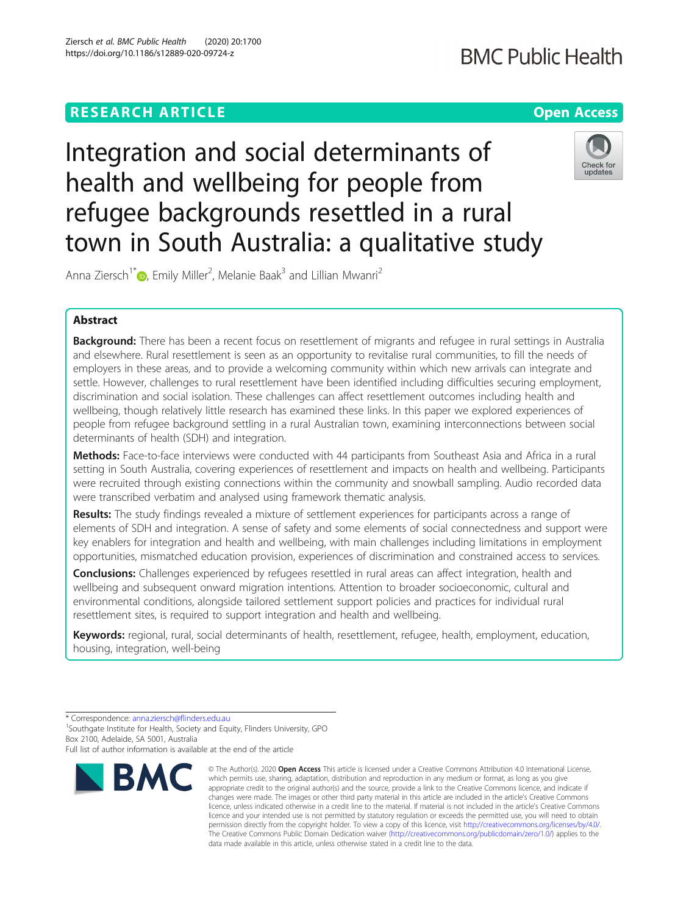# **RESEARCH ARTICLE Example 2014 12:30 The Company Access** (COMPANY) **Open Access**

# **BMC Public Health**

Integration and social determinants of health and wellbeing for people from refugee backgrounds resettled in a rural town in South Australia: a qualitative study



Anna Ziersch<sup>1[\\*](http://orcid.org/0000-0001-6600-2568)</sup> <sub>(</sub>D, Emily Miller<sup>2</sup>, Melanie Baak<sup>3</sup> and Lillian Mwanri<sup>2</sup>

# Abstract

Background: There has been a recent focus on resettlement of migrants and refugee in rural settings in Australia and elsewhere. Rural resettlement is seen as an opportunity to revitalise rural communities, to fill the needs of employers in these areas, and to provide a welcoming community within which new arrivals can integrate and settle. However, challenges to rural resettlement have been identified including difficulties securing employment, discrimination and social isolation. These challenges can affect resettlement outcomes including health and wellbeing, though relatively little research has examined these links. In this paper we explored experiences of people from refugee background settling in a rural Australian town, examining interconnections between social determinants of health (SDH) and integration.

Methods: Face-to-face interviews were conducted with 44 participants from Southeast Asia and Africa in a rural setting in South Australia, covering experiences of resettlement and impacts on health and wellbeing. Participants were recruited through existing connections within the community and snowball sampling. Audio recorded data were transcribed verbatim and analysed using framework thematic analysis.

Results: The study findings revealed a mixture of settlement experiences for participants across a range of elements of SDH and integration. A sense of safety and some elements of social connectedness and support were key enablers for integration and health and wellbeing, with main challenges including limitations in employment opportunities, mismatched education provision, experiences of discrimination and constrained access to services.

**Conclusions:** Challenges experienced by refugees resettled in rural areas can affect integration, health and wellbeing and subsequent onward migration intentions. Attention to broader socioeconomic, cultural and environmental conditions, alongside tailored settlement support policies and practices for individual rural resettlement sites, is required to support integration and health and wellbeing.

Keywords: regional, rural, social determinants of health, resettlement, refugee, health, employment, education, housing, integration, well-being

Full list of author information is available at the end of the article



<sup>©</sup> The Author(s), 2020 **Open Access** This article is licensed under a Creative Commons Attribution 4.0 International License, which permits use, sharing, adaptation, distribution and reproduction in any medium or format, as long as you give appropriate credit to the original author(s) and the source, provide a link to the Creative Commons licence, and indicate if changes were made. The images or other third party material in this article are included in the article's Creative Commons licence, unless indicated otherwise in a credit line to the material. If material is not included in the article's Creative Commons licence and your intended use is not permitted by statutory regulation or exceeds the permitted use, you will need to obtain permission directly from the copyright holder. To view a copy of this licence, visit [http://creativecommons.org/licenses/by/4.0/.](http://creativecommons.org/licenses/by/4.0/) The Creative Commons Public Domain Dedication waiver [\(http://creativecommons.org/publicdomain/zero/1.0/](http://creativecommons.org/publicdomain/zero/1.0/)) applies to the data made available in this article, unless otherwise stated in a credit line to the data.

<sup>\*</sup> Correspondence: [anna.ziersch@flinders.edu.au](mailto:anna.ziersch@flinders.edu.au) <sup>1</sup>

<sup>&</sup>lt;sup>1</sup>Southgate Institute for Health, Society and Equity, Flinders University, GPO Box 2100, Adelaide, SA 5001, Australia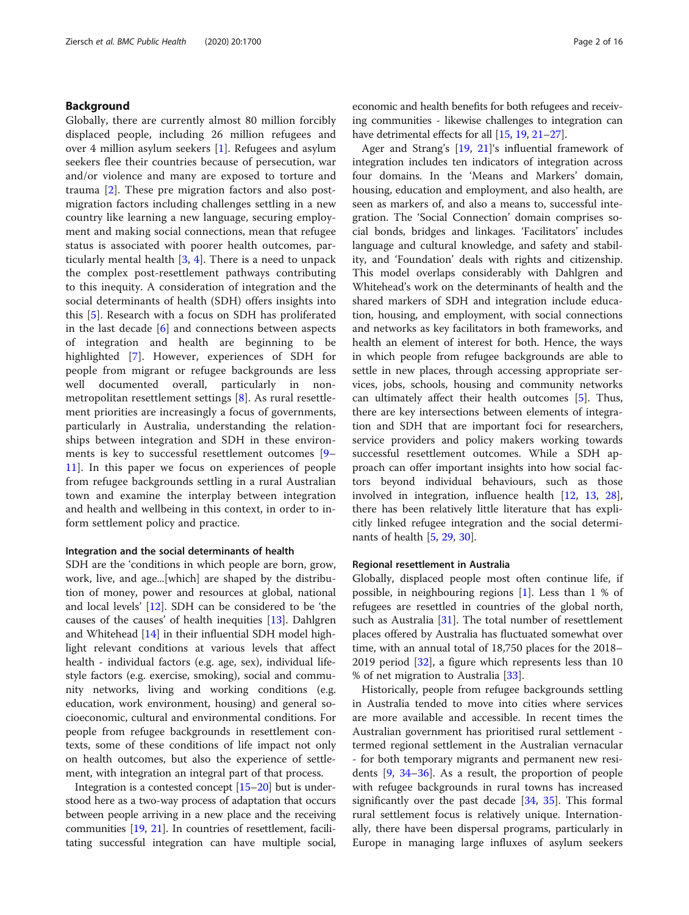# Background

Globally, there are currently almost 80 million forcibly displaced people, including 26 million refugees and over 4 million asylum seekers [[1\]](#page-13-0). Refugees and asylum seekers flee their countries because of persecution, war and/or violence and many are exposed to torture and trauma [\[2](#page-13-0)]. These pre migration factors and also postmigration factors including challenges settling in a new country like learning a new language, securing employment and making social connections, mean that refugee status is associated with poorer health outcomes, particularly mental health [\[3](#page-13-0), [4\]](#page-13-0). There is a need to unpack the complex post-resettlement pathways contributing to this inequity. A consideration of integration and the social determinants of health (SDH) offers insights into this [[5\]](#page-13-0). Research with a focus on SDH has proliferated in the last decade  $[6]$  $[6]$  and connections between aspects of integration and health are beginning to be highlighted [\[7](#page-13-0)]. However, experiences of SDH for people from migrant or refugee backgrounds are less well documented overall, particularly in nonmetropolitan resettlement settings [\[8](#page-13-0)]. As rural resettlement priorities are increasingly a focus of governments, particularly in Australia, understanding the relationships between integration and SDH in these environments is key to successful resettlement outcomes [[9](#page-13-0)– [11\]](#page-13-0). In this paper we focus on experiences of people from refugee backgrounds settling in a rural Australian town and examine the interplay between integration and health and wellbeing in this context, in order to inform settlement policy and practice.

#### Integration and the social determinants of health

SDH are the 'conditions in which people are born, grow, work, live, and age...[which] are shaped by the distribution of money, power and resources at global, national and local levels' [\[12](#page-13-0)]. SDH can be considered to be 'the causes of the causes' of health inequities [[13\]](#page-13-0). Dahlgren and Whitehead [\[14](#page-13-0)] in their influential SDH model highlight relevant conditions at various levels that affect health - individual factors (e.g. age, sex), individual lifestyle factors (e.g. exercise, smoking), social and community networks, living and working conditions (e.g. education, work environment, housing) and general socioeconomic, cultural and environmental conditions. For people from refugee backgrounds in resettlement contexts, some of these conditions of life impact not only on health outcomes, but also the experience of settlement, with integration an integral part of that process.

Integration is a contested concept  $[15–20]$  $[15–20]$  $[15–20]$  $[15–20]$  but is understood here as a two-way process of adaptation that occurs between people arriving in a new place and the receiving communities [\[19](#page-13-0), [21](#page-13-0)]. In countries of resettlement, facilitating successful integration can have multiple social,

economic and health benefits for both refugees and receiving communities - likewise challenges to integration can have detrimental effects for all [\[15,](#page-13-0) [19](#page-13-0), [21](#page-13-0)–[27](#page-13-0)].

Ager and Strang's [\[19](#page-13-0), [21\]](#page-13-0)'s influential framework of integration includes ten indicators of integration across four domains. In the 'Means and Markers' domain, housing, education and employment, and also health, are seen as markers of, and also a means to, successful integration. The 'Social Connection' domain comprises social bonds, bridges and linkages. 'Facilitators' includes language and cultural knowledge, and safety and stability, and 'Foundation' deals with rights and citizenship. This model overlaps considerably with Dahlgren and Whitehead's work on the determinants of health and the shared markers of SDH and integration include education, housing, and employment, with social connections and networks as key facilitators in both frameworks, and health an element of interest for both. Hence, the ways in which people from refugee backgrounds are able to settle in new places, through accessing appropriate services, jobs, schools, housing and community networks can ultimately affect their health outcomes [\[5\]](#page-13-0). Thus, there are key intersections between elements of integration and SDH that are important foci for researchers, service providers and policy makers working towards successful resettlement outcomes. While a SDH approach can offer important insights into how social factors beyond individual behaviours, such as those involved in integration, influence health [[12,](#page-13-0) [13,](#page-13-0) [28](#page-13-0)], there has been relatively little literature that has explicitly linked refugee integration and the social determinants of health [[5,](#page-13-0) [29,](#page-13-0) [30\]](#page-13-0).

#### Regional resettlement in Australia

Globally, displaced people most often continue life, if possible, in neighbouring regions [[1](#page-13-0)]. Less than 1 % of refugees are resettled in countries of the global north, such as Australia  $[31]$  $[31]$  $[31]$ . The total number of resettlement places offered by Australia has fluctuated somewhat over time, with an annual total of 18,750 places for the 2018– 2019 period [\[32\]](#page-14-0), a figure which represents less than 10 % of net migration to Australia [\[33](#page-14-0)].

Historically, people from refugee backgrounds settling in Australia tended to move into cities where services are more available and accessible. In recent times the Australian government has prioritised rural settlement termed regional settlement in the Australian vernacular - for both temporary migrants and permanent new residents [\[9](#page-13-0), [34](#page-14-0)–[36](#page-14-0)]. As a result, the proportion of people with refugee backgrounds in rural towns has increased significantly over the past decade [\[34](#page-14-0), [35\]](#page-14-0). This formal rural settlement focus is relatively unique. Internationally, there have been dispersal programs, particularly in Europe in managing large influxes of asylum seekers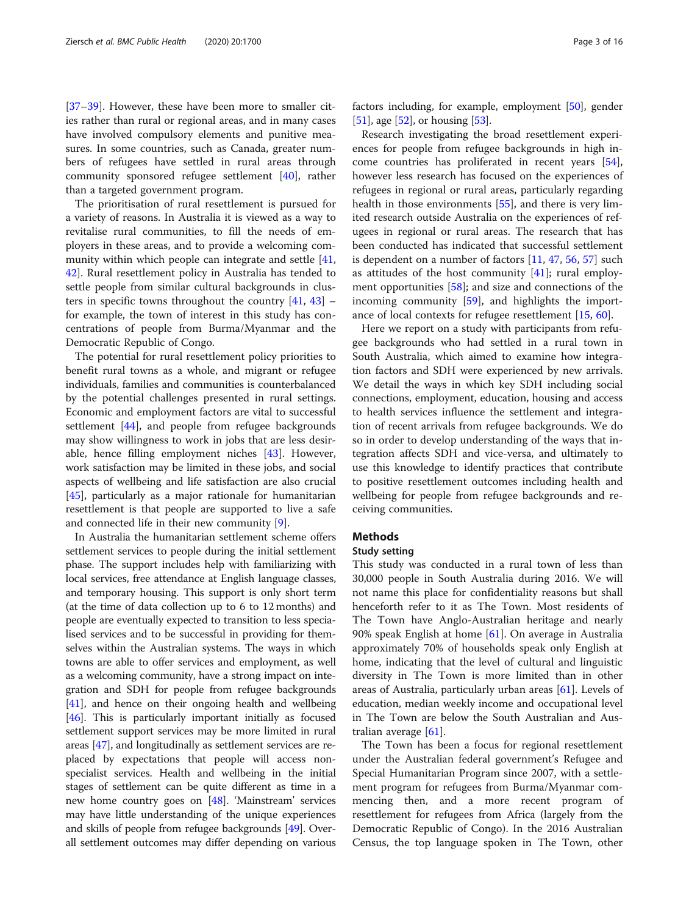[[37](#page-14-0)–[39](#page-14-0)]. However, these have been more to smaller cities rather than rural or regional areas, and in many cases have involved compulsory elements and punitive measures. In some countries, such as Canada, greater numbers of refugees have settled in rural areas through community sponsored refugee settlement [[40\]](#page-14-0), rather than a targeted government program.

The prioritisation of rural resettlement is pursued for a variety of reasons. In Australia it is viewed as a way to revitalise rural communities, to fill the needs of employers in these areas, and to provide a welcoming community within which people can integrate and settle [[41](#page-14-0), [42\]](#page-14-0). Rural resettlement policy in Australia has tended to settle people from similar cultural backgrounds in clusters in specific towns throughout the country  $[41, 43]$  $[41, 43]$  $[41, 43]$  $[41, 43]$  – for example, the town of interest in this study has concentrations of people from Burma/Myanmar and the Democratic Republic of Congo.

The potential for rural resettlement policy priorities to benefit rural towns as a whole, and migrant or refugee individuals, families and communities is counterbalanced by the potential challenges presented in rural settings. Economic and employment factors are vital to successful settlement [\[44](#page-14-0)], and people from refugee backgrounds may show willingness to work in jobs that are less desirable, hence filling employment niches [\[43\]](#page-14-0). However, work satisfaction may be limited in these jobs, and social aspects of wellbeing and life satisfaction are also crucial [[45\]](#page-14-0), particularly as a major rationale for humanitarian resettlement is that people are supported to live a safe and connected life in their new community [\[9](#page-13-0)].

In Australia the humanitarian settlement scheme offers settlement services to people during the initial settlement phase. The support includes help with familiarizing with local services, free attendance at English language classes, and temporary housing. This support is only short term (at the time of data collection up to 6 to 12 months) and people are eventually expected to transition to less specialised services and to be successful in providing for themselves within the Australian systems. The ways in which towns are able to offer services and employment, as well as a welcoming community, have a strong impact on integration and SDH for people from refugee backgrounds [[41](#page-14-0)], and hence on their ongoing health and wellbeing [[46](#page-14-0)]. This is particularly important initially as focused settlement support services may be more limited in rural areas [[47](#page-14-0)], and longitudinally as settlement services are replaced by expectations that people will access nonspecialist services. Health and wellbeing in the initial stages of settlement can be quite different as time in a new home country goes on [[48\]](#page-14-0). 'Mainstream' services may have little understanding of the unique experiences and skills of people from refugee backgrounds [\[49\]](#page-14-0). Overall settlement outcomes may differ depending on various factors including, for example, employment [\[50\]](#page-14-0), gender [[51](#page-14-0)], age [\[52\]](#page-14-0), or housing [\[53\]](#page-14-0).

Research investigating the broad resettlement experiences for people from refugee backgrounds in high income countries has proliferated in recent years [\[54](#page-14-0)], however less research has focused on the experiences of refugees in regional or rural areas, particularly regarding health in those environments [\[55](#page-14-0)], and there is very limited research outside Australia on the experiences of refugees in regional or rural areas. The research that has been conducted has indicated that successful settlement is dependent on a number of factors [\[11](#page-13-0), [47](#page-14-0), [56,](#page-14-0) [57\]](#page-14-0) such as attitudes of the host community  $[41]$  $[41]$ ; rural employment opportunities [[58\]](#page-14-0); and size and connections of the incoming community [\[59](#page-14-0)], and highlights the importance of local contexts for refugee resettlement [\[15](#page-13-0), [60](#page-14-0)].

Here we report on a study with participants from refugee backgrounds who had settled in a rural town in South Australia, which aimed to examine how integration factors and SDH were experienced by new arrivals. We detail the ways in which key SDH including social connections, employment, education, housing and access to health services influence the settlement and integration of recent arrivals from refugee backgrounds. We do so in order to develop understanding of the ways that integration affects SDH and vice-versa, and ultimately to use this knowledge to identify practices that contribute to positive resettlement outcomes including health and wellbeing for people from refugee backgrounds and receiving communities.

# Methods

#### Study setting

This study was conducted in a rural town of less than 30,000 people in South Australia during 2016. We will not name this place for confidentiality reasons but shall henceforth refer to it as The Town. Most residents of The Town have Anglo-Australian heritage and nearly 90% speak English at home [[61\]](#page-14-0). On average in Australia approximately 70% of households speak only English at home, indicating that the level of cultural and linguistic diversity in The Town is more limited than in other areas of Australia, particularly urban areas [\[61](#page-14-0)]. Levels of education, median weekly income and occupational level in The Town are below the South Australian and Australian average [\[61](#page-14-0)].

The Town has been a focus for regional resettlement under the Australian federal government's Refugee and Special Humanitarian Program since 2007, with a settlement program for refugees from Burma/Myanmar commencing then, and a more recent program of resettlement for refugees from Africa (largely from the Democratic Republic of Congo). In the 2016 Australian Census, the top language spoken in The Town, other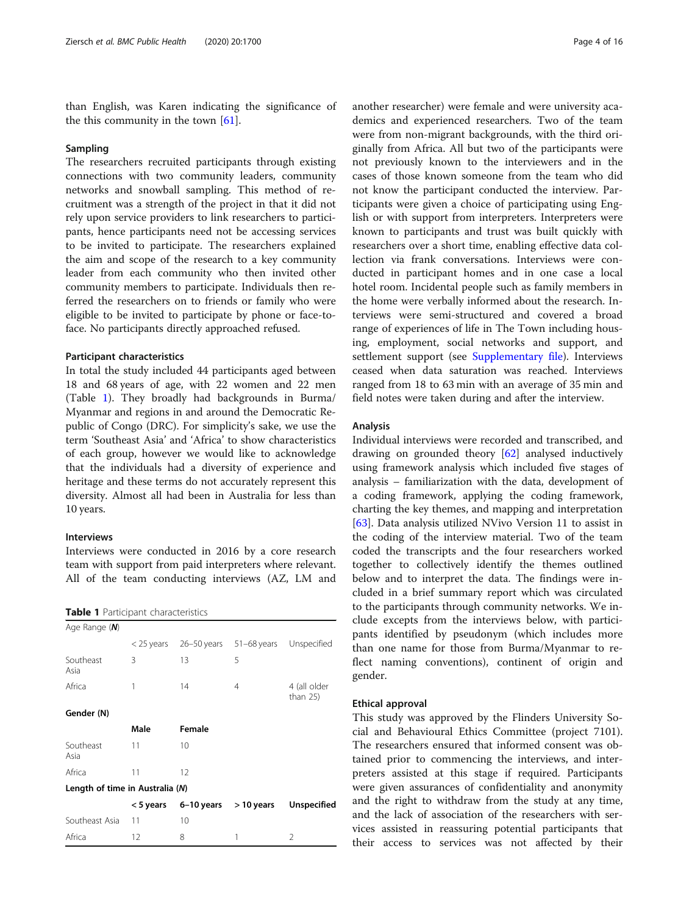than English, was Karen indicating the significance of the this community in the town  $[61]$  $[61]$ .

#### Sampling

The researchers recruited participants through existing connections with two community leaders, community networks and snowball sampling. This method of recruitment was a strength of the project in that it did not rely upon service providers to link researchers to participants, hence participants need not be accessing services to be invited to participate. The researchers explained the aim and scope of the research to a key community leader from each community who then invited other community members to participate. Individuals then referred the researchers on to friends or family who were eligible to be invited to participate by phone or face-toface. No participants directly approached refused.

#### Participant characteristics

In total the study included 44 participants aged between 18 and 68 years of age, with 22 women and 22 men (Table 1). They broadly had backgrounds in Burma/ Myanmar and regions in and around the Democratic Republic of Congo (DRC). For simplicity's sake, we use the term 'Southeast Asia' and 'Africa' to show characteristics of each group, however we would like to acknowledge that the individuals had a diversity of experience and heritage and these terms do not accurately represent this diversity. Almost all had been in Australia for less than 10 years.

#### Interviews

Interviews were conducted in 2016 by a core research team with support from paid interpreters where relevant. All of the team conducting interviews (AZ, LM and

|  |  | Table 1 Participant characteristics |
|--|--|-------------------------------------|
|--|--|-------------------------------------|

| Age Range $(N)$                 |           |            |                                      |                             |  |
|---------------------------------|-----------|------------|--------------------------------------|-----------------------------|--|
|                                 |           |            | $<$ 25 years 26-50 years 51-68 years | Unspecified                 |  |
| Southeast<br>Asia               | 3         | 13         | 5                                    |                             |  |
| Africa                          | 1         | 14         | $\overline{4}$                       | 4 (all older<br>than $25$ ) |  |
| Gender (N)                      |           |            |                                      |                             |  |
|                                 | Male      | Female     |                                      |                             |  |
| Southeast<br>Asia               | 11        | 10         |                                      |                             |  |
| Africa                          | 11        | 12         |                                      |                             |  |
| Length of time in Australia (N) |           |            |                                      |                             |  |
|                                 | < 5 years | 6–10 years | > 10 years                           | <b>Unspecified</b>          |  |
| Southeast Asia                  | 11        | 10         |                                      |                             |  |
| Africa                          | 12        | 8          | 1                                    | $\mathfrak{D}$              |  |

another researcher) were female and were university academics and experienced researchers. Two of the team were from non-migrant backgrounds, with the third originally from Africa. All but two of the participants were not previously known to the interviewers and in the cases of those known someone from the team who did not know the participant conducted the interview. Participants were given a choice of participating using English or with support from interpreters. Interpreters were known to participants and trust was built quickly with researchers over a short time, enabling effective data collection via frank conversations. Interviews were conducted in participant homes and in one case a local hotel room. Incidental people such as family members in the home were verbally informed about the research. Interviews were semi-structured and covered a broad range of experiences of life in The Town including housing, employment, social networks and support, and settlement support (see [Supplementary file\)](#page-13-0). Interviews ceased when data saturation was reached. Interviews ranged from 18 to 63 min with an average of 35 min and field notes were taken during and after the interview.

#### Analysis

Individual interviews were recorded and transcribed, and drawing on grounded theory [\[62](#page-14-0)] analysed inductively using framework analysis which included five stages of analysis – familiarization with the data, development of a coding framework, applying the coding framework, charting the key themes, and mapping and interpretation [[63\]](#page-14-0). Data analysis utilized NVivo Version 11 to assist in the coding of the interview material. Two of the team coded the transcripts and the four researchers worked together to collectively identify the themes outlined below and to interpret the data. The findings were included in a brief summary report which was circulated to the participants through community networks. We include excepts from the interviews below, with participants identified by pseudonym (which includes more than one name for those from Burma/Myanmar to reflect naming conventions), continent of origin and gender.

#### Ethical approval

This study was approved by the Flinders University Social and Behavioural Ethics Committee (project 7101). The researchers ensured that informed consent was obtained prior to commencing the interviews, and interpreters assisted at this stage if required. Participants were given assurances of confidentiality and anonymity and the right to withdraw from the study at any time, and the lack of association of the researchers with services assisted in reassuring potential participants that their access to services was not affected by their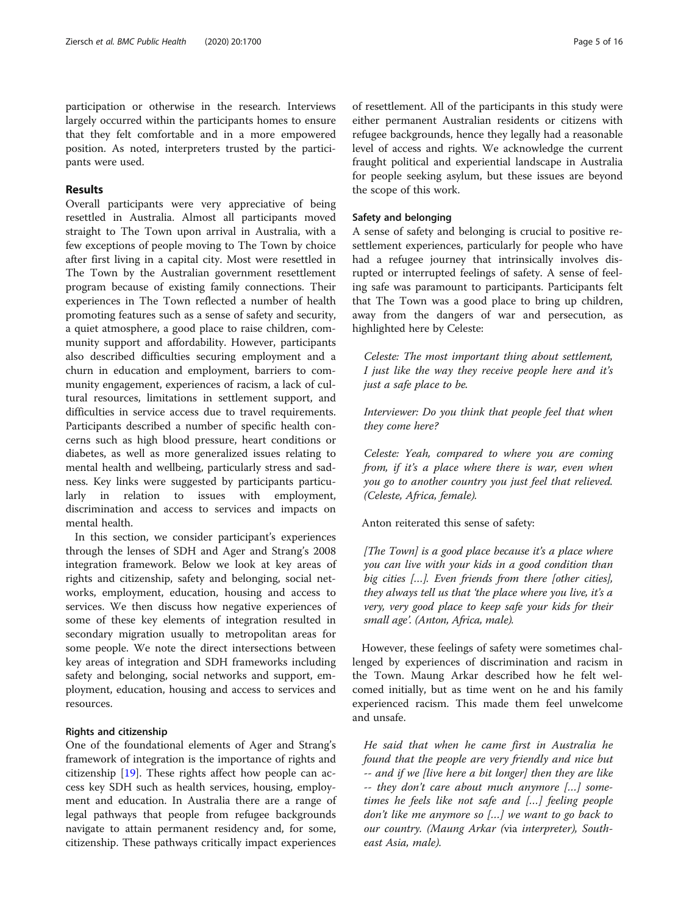participation or otherwise in the research. Interviews largely occurred within the participants homes to ensure that they felt comfortable and in a more empowered position. As noted, interpreters trusted by the participants were used.

# Results

Overall participants were very appreciative of being resettled in Australia. Almost all participants moved straight to The Town upon arrival in Australia, with a few exceptions of people moving to The Town by choice after first living in a capital city. Most were resettled in The Town by the Australian government resettlement program because of existing family connections. Their experiences in The Town reflected a number of health promoting features such as a sense of safety and security, a quiet atmosphere, a good place to raise children, community support and affordability. However, participants also described difficulties securing employment and a churn in education and employment, barriers to community engagement, experiences of racism, a lack of cultural resources, limitations in settlement support, and difficulties in service access due to travel requirements. Participants described a number of specific health concerns such as high blood pressure, heart conditions or diabetes, as well as more generalized issues relating to mental health and wellbeing, particularly stress and sadness. Key links were suggested by participants particularly in relation to issues with employment, discrimination and access to services and impacts on mental health.

In this section, we consider participant's experiences through the lenses of SDH and Ager and Strang's 2008 integration framework. Below we look at key areas of rights and citizenship, safety and belonging, social networks, employment, education, housing and access to services. We then discuss how negative experiences of some of these key elements of integration resulted in secondary migration usually to metropolitan areas for some people. We note the direct intersections between key areas of integration and SDH frameworks including safety and belonging, social networks and support, employment, education, housing and access to services and resources.

# Rights and citizenship

One of the foundational elements of Ager and Strang's framework of integration is the importance of rights and citizenship [\[19](#page-13-0)]. These rights affect how people can access key SDH such as health services, housing, employment and education. In Australia there are a range of legal pathways that people from refugee backgrounds navigate to attain permanent residency and, for some, citizenship. These pathways critically impact experiences

of resettlement. All of the participants in this study were either permanent Australian residents or citizens with refugee backgrounds, hence they legally had a reasonable level of access and rights. We acknowledge the current fraught political and experiential landscape in Australia for people seeking asylum, but these issues are beyond the scope of this work.

# Safety and belonging

A sense of safety and belonging is crucial to positive resettlement experiences, particularly for people who have had a refugee journey that intrinsically involves disrupted or interrupted feelings of safety. A sense of feeling safe was paramount to participants. Participants felt that The Town was a good place to bring up children, away from the dangers of war and persecution, as highlighted here by Celeste:

Celeste: The most important thing about settlement, I just like the way they receive people here and it's just a safe place to be.

Interviewer: Do you think that people feel that when they come here?

Celeste: Yeah, compared to where you are coming from, if it's a place where there is war, even when you go to another country you just feel that relieved. (Celeste, Africa, female).

Anton reiterated this sense of safety:

[The Town] is a good place because it's a place where you can live with your kids in a good condition than big cities [...]. Even friends from there [other cities], they always tell us that 'the place where you live, it's a very, very good place to keep safe your kids for their small age'. (Anton, Africa, male).

However, these feelings of safety were sometimes challenged by experiences of discrimination and racism in the Town. Maung Arkar described how he felt welcomed initially, but as time went on he and his family experienced racism. This made them feel unwelcome and unsafe.

He said that when he came first in Australia he found that the people are very friendly and nice but -- and if we [live here a bit longer] then they are like -- they don't care about much anymore […] sometimes he feels like not safe and […] feeling people don't like me anymore so […] we want to go back to our country. (Maung Arkar (via interpreter), Southeast Asia, male).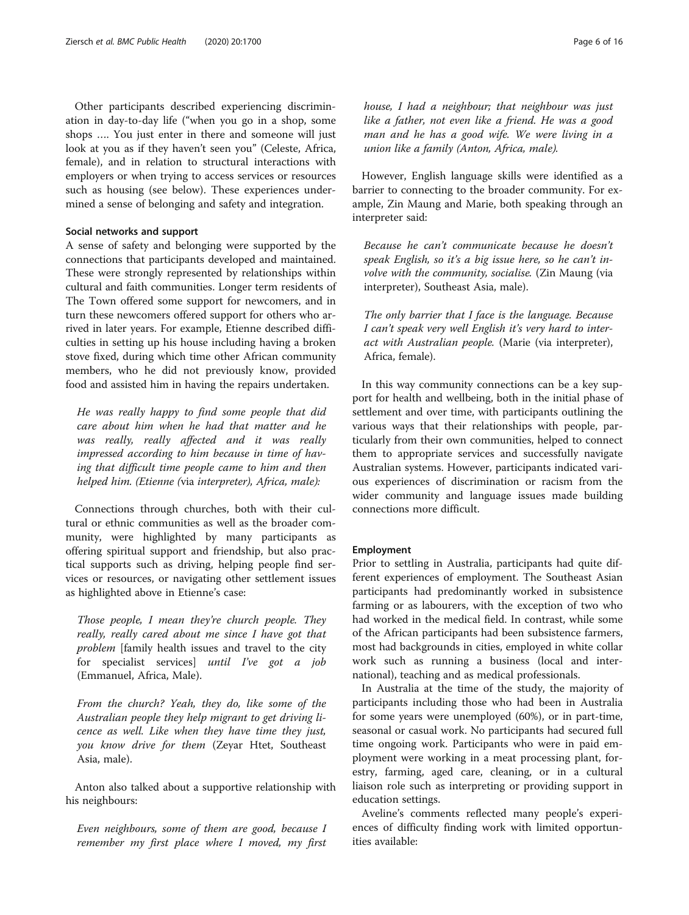Other participants described experiencing discrimination in day-to-day life ("when you go in a shop, some shops …. You just enter in there and someone will just look at you as if they haven't seen you" (Celeste, Africa, female), and in relation to structural interactions with employers or when trying to access services or resources such as housing (see below). These experiences undermined a sense of belonging and safety and integration.

# Social networks and support

A sense of safety and belonging were supported by the connections that participants developed and maintained. These were strongly represented by relationships within cultural and faith communities. Longer term residents of The Town offered some support for newcomers, and in turn these newcomers offered support for others who arrived in later years. For example, Etienne described difficulties in setting up his house including having a broken stove fixed, during which time other African community members, who he did not previously know, provided food and assisted him in having the repairs undertaken.

He was really happy to find some people that did care about him when he had that matter and he was really, really affected and it was really impressed according to him because in time of having that difficult time people came to him and then helped him. (Etienne (via interpreter), Africa, male):

Connections through churches, both with their cultural or ethnic communities as well as the broader community, were highlighted by many participants as offering spiritual support and friendship, but also practical supports such as driving, helping people find services or resources, or navigating other settlement issues as highlighted above in Etienne's case:

Those people, I mean they're church people. They really, really cared about me since I have got that problem [family health issues and travel to the city for specialist services] until I've got a job (Emmanuel, Africa, Male).

From the church? Yeah, they do, like some of the Australian people they help migrant to get driving licence as well. Like when they have time they just, you know drive for them (Zeyar Htet, Southeast Asia, male).

Anton also talked about a supportive relationship with his neighbours:

Even neighbours, some of them are good, because I remember my first place where I moved, my first house, I had a neighbour; that neighbour was just like a father, not even like a friend. He was a good man and he has a good wife. We were living in a union like a family (Anton, Africa, male).

However, English language skills were identified as a barrier to connecting to the broader community. For example, Zin Maung and Marie, both speaking through an interpreter said:

Because he can't communicate because he doesn't speak English, so it's a big issue here, so he can't involve with the community, socialise. (Zin Maung (via interpreter), Southeast Asia, male).

The only barrier that I face is the language. Because I can't speak very well English it's very hard to interact with Australian people. (Marie (via interpreter), Africa, female).

In this way community connections can be a key support for health and wellbeing, both in the initial phase of settlement and over time, with participants outlining the various ways that their relationships with people, particularly from their own communities, helped to connect them to appropriate services and successfully navigate Australian systems. However, participants indicated various experiences of discrimination or racism from the wider community and language issues made building connections more difficult.

# Employment

Prior to settling in Australia, participants had quite different experiences of employment. The Southeast Asian participants had predominantly worked in subsistence farming or as labourers, with the exception of two who had worked in the medical field. In contrast, while some of the African participants had been subsistence farmers, most had backgrounds in cities, employed in white collar work such as running a business (local and international), teaching and as medical professionals.

In Australia at the time of the study, the majority of participants including those who had been in Australia for some years were unemployed (60%), or in part-time, seasonal or casual work. No participants had secured full time ongoing work. Participants who were in paid employment were working in a meat processing plant, forestry, farming, aged care, cleaning, or in a cultural liaison role such as interpreting or providing support in education settings.

Aveline's comments reflected many people's experiences of difficulty finding work with limited opportunities available: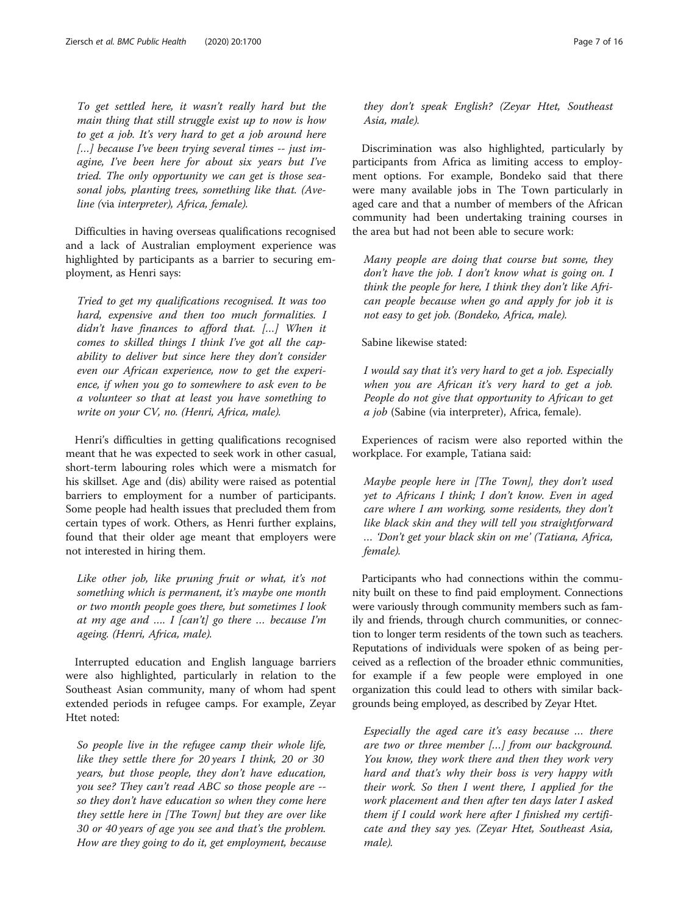To get settled here, it wasn't really hard but the main thing that still struggle exist up to now is how to get a job. It's very hard to get a job around here [...] because I've been trying several times -- just imagine, I've been here for about six years but I've tried. The only opportunity we can get is those seasonal jobs, planting trees, something like that. (Aveline (via interpreter), Africa, female).

Difficulties in having overseas qualifications recognised and a lack of Australian employment experience was highlighted by participants as a barrier to securing employment, as Henri says:

Tried to get my qualifications recognised. It was too hard, expensive and then too much formalities. I didn't have finances to afford that. […] When it comes to skilled things I think I've got all the capability to deliver but since here they don't consider even our African experience, now to get the experience, if when you go to somewhere to ask even to be a volunteer so that at least you have something to write on your CV, no. (Henri, Africa, male).

Henri's difficulties in getting qualifications recognised meant that he was expected to seek work in other casual, short-term labouring roles which were a mismatch for his skillset. Age and (dis) ability were raised as potential barriers to employment for a number of participants. Some people had health issues that precluded them from certain types of work. Others, as Henri further explains, found that their older age meant that employers were not interested in hiring them.

Like other job, like pruning fruit or what, it's not something which is permanent, it's maybe one month or two month people goes there, but sometimes I look at my age and  $\ldots$  I [can't] go there  $\ldots$  because I'm ageing. (Henri, Africa, male).

Interrupted education and English language barriers were also highlighted, particularly in relation to the Southeast Asian community, many of whom had spent extended periods in refugee camps. For example, Zeyar Htet noted:

So people live in the refugee camp their whole life, like they settle there for 20 years I think, 20 or 30 years, but those people, they don't have education, you see? They can't read ABC so those people are - so they don't have education so when they come here they settle here in [The Town] but they are over like 30 or 40 years of age you see and that's the problem. How are they going to do it, get employment, because

they don't speak English? (Zeyar Htet, Southeast Asia, male).

Discrimination was also highlighted, particularly by participants from Africa as limiting access to employment options. For example, Bondeko said that there were many available jobs in The Town particularly in aged care and that a number of members of the African community had been undertaking training courses in the area but had not been able to secure work:

Many people are doing that course but some, they don't have the job. I don't know what is going on. I think the people for here, I think they don't like African people because when go and apply for job it is not easy to get job. (Bondeko, Africa, male).

Sabine likewise stated:

I would say that it's very hard to get a job. Especially when you are African it's very hard to get a job. People do not give that opportunity to African to get a job (Sabine (via interpreter), Africa, female).

Experiences of racism were also reported within the workplace. For example, Tatiana said:

Maybe people here in [The Town], they don't used yet to Africans I think; I don't know. Even in aged care where I am working, some residents, they don't like black skin and they will tell you straightforward … 'Don't get your black skin on me' (Tatiana, Africa, female).

Participants who had connections within the community built on these to find paid employment. Connections were variously through community members such as family and friends, through church communities, or connection to longer term residents of the town such as teachers. Reputations of individuals were spoken of as being perceived as a reflection of the broader ethnic communities, for example if a few people were employed in one organization this could lead to others with similar backgrounds being employed, as described by Zeyar Htet.

Especially the aged care it's easy because … there are two or three member […] from our background. You know, they work there and then they work very hard and that's why their boss is very happy with their work. So then I went there, I applied for the work placement and then after ten days later I asked them if I could work here after I finished my certificate and they say yes. (Zeyar Htet, Southeast Asia, male).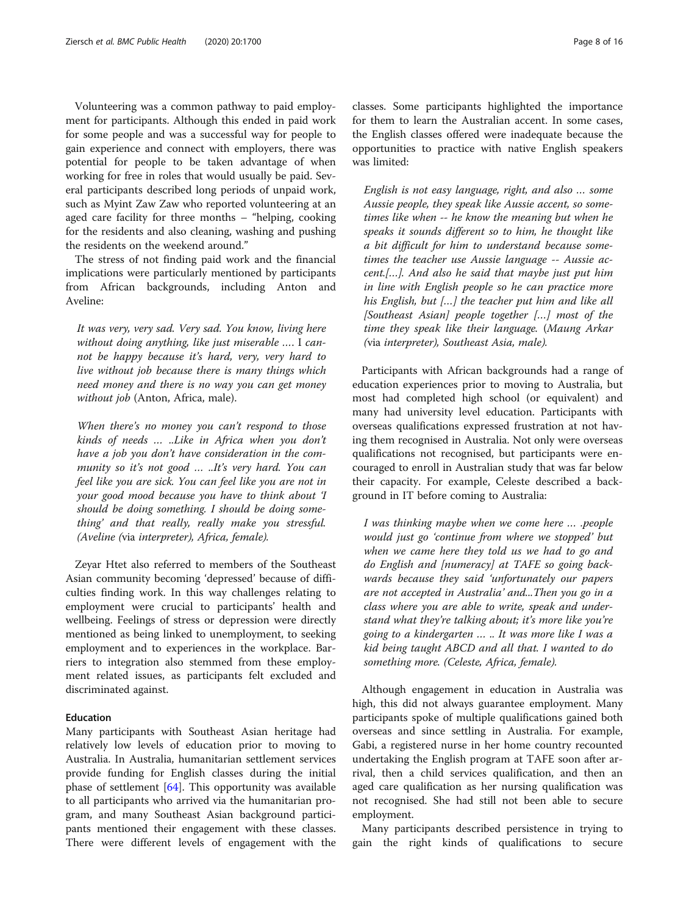Volunteering was a common pathway to paid employment for participants. Although this ended in paid work for some people and was a successful way for people to gain experience and connect with employers, there was potential for people to be taken advantage of when working for free in roles that would usually be paid. Several participants described long periods of unpaid work, such as Myint Zaw Zaw who reported volunteering at an aged care facility for three months – "helping, cooking for the residents and also cleaning, washing and pushing the residents on the weekend around."

The stress of not finding paid work and the financial implications were particularly mentioned by participants from African backgrounds, including Anton and Aveline:

It was very, very sad. Very sad. You know, living here without doing anything, like just miserable …. I cannot be happy because it's hard, very, very hard to live without job because there is many things which need money and there is no way you can get money without job (Anton, Africa, male).

When there's no money you can't respond to those kinds of needs … ..Like in Africa when you don't have a job you don't have consideration in the community so it's not good … ..It's very hard. You can feel like you are sick. You can feel like you are not in your good mood because you have to think about 'I should be doing something. I should be doing something' and that really, really make you stressful. (Aveline (via interpreter), Africa, female).

Zeyar Htet also referred to members of the Southeast Asian community becoming 'depressed' because of difficulties finding work. In this way challenges relating to employment were crucial to participants' health and wellbeing. Feelings of stress or depression were directly mentioned as being linked to unemployment, to seeking employment and to experiences in the workplace. Barriers to integration also stemmed from these employment related issues, as participants felt excluded and discriminated against.

# Education

Many participants with Southeast Asian heritage had relatively low levels of education prior to moving to Australia. In Australia, humanitarian settlement services provide funding for English classes during the initial phase of settlement [\[64](#page-14-0)]. This opportunity was available to all participants who arrived via the humanitarian program, and many Southeast Asian background participants mentioned their engagement with these classes. There were different levels of engagement with the classes. Some participants highlighted the importance for them to learn the Australian accent. In some cases, the English classes offered were inadequate because the opportunities to practice with native English speakers was limited:

English is not easy language, right, and also … some Aussie people, they speak like Aussie accent, so sometimes like when -- he know the meaning but when he speaks it sounds different so to him, he thought like a bit difficult for him to understand because sometimes the teacher use Aussie language -- Aussie accent.[…]. And also he said that maybe just put him in line with English people so he can practice more his English, but [...] the teacher put him and like all [Southeast Asian] people together […] most of the time they speak like their language. (Maung Arkar (via interpreter), Southeast Asia, male).

Participants with African backgrounds had a range of education experiences prior to moving to Australia, but most had completed high school (or equivalent) and many had university level education. Participants with overseas qualifications expressed frustration at not having them recognised in Australia. Not only were overseas qualifications not recognised, but participants were encouraged to enroll in Australian study that was far below their capacity. For example, Celeste described a background in IT before coming to Australia:

I was thinking maybe when we come here … .people would just go 'continue from where we stopped' but when we came here they told us we had to go and do English and [numeracy] at TAFE so going backwards because they said 'unfortunately our papers are not accepted in Australia' and...Then you go in a class where you are able to write, speak and understand what they're talking about; it's more like you're going to a kindergarten … .. It was more like I was a kid being taught ABCD and all that. I wanted to do something more. (Celeste, Africa, female).

Although engagement in education in Australia was high, this did not always guarantee employment. Many participants spoke of multiple qualifications gained both overseas and since settling in Australia. For example, Gabi, a registered nurse in her home country recounted undertaking the English program at TAFE soon after arrival, then a child services qualification, and then an aged care qualification as her nursing qualification was not recognised. She had still not been able to secure employment.

Many participants described persistence in trying to gain the right kinds of qualifications to secure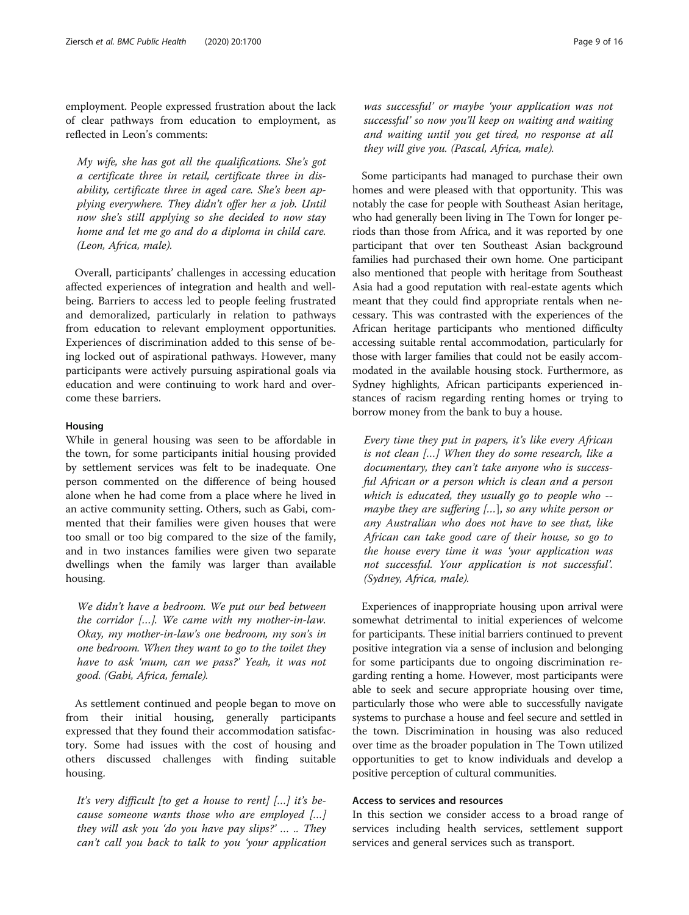employment. People expressed frustration about the lack of clear pathways from education to employment, as reflected in Leon's comments:

My wife, she has got all the qualifications. She's got a certificate three in retail, certificate three in disability, certificate three in aged care. She's been applying everywhere. They didn't offer her a job. Until now she's still applying so she decided to now stay home and let me go and do a diploma in child care. (Leon, Africa, male).

Overall, participants' challenges in accessing education affected experiences of integration and health and wellbeing. Barriers to access led to people feeling frustrated and demoralized, particularly in relation to pathways from education to relevant employment opportunities. Experiences of discrimination added to this sense of being locked out of aspirational pathways. However, many participants were actively pursuing aspirational goals via education and were continuing to work hard and overcome these barriers.

#### Housing

While in general housing was seen to be affordable in the town, for some participants initial housing provided by settlement services was felt to be inadequate. One person commented on the difference of being housed alone when he had come from a place where he lived in an active community setting. Others, such as Gabi, commented that their families were given houses that were too small or too big compared to the size of the family, and in two instances families were given two separate dwellings when the family was larger than available housing.

We didn't have a bedroom. We put our bed between the corridor […]. We came with my mother-in-law. Okay, my mother-in-law's one bedroom, my son's in one bedroom. When they want to go to the toilet they have to ask 'mum, can we pass?' Yeah, it was not good. (Gabi, Africa, female).

As settlement continued and people began to move on from their initial housing, generally participants expressed that they found their accommodation satisfactory. Some had issues with the cost of housing and others discussed challenges with finding suitable housing.

It's very difficult [to get a house to rent]  $[...]$  it's because someone wants those who are employed […] they will ask you 'do you have pay slips?' … .. They can't call you back to talk to you 'your application

was successful' or maybe 'your application was not successful' so now you'll keep on waiting and waiting and waiting until you get tired, no response at all they will give you. (Pascal, Africa, male).

Some participants had managed to purchase their own homes and were pleased with that opportunity. This was notably the case for people with Southeast Asian heritage, who had generally been living in The Town for longer periods than those from Africa, and it was reported by one participant that over ten Southeast Asian background families had purchased their own home. One participant also mentioned that people with heritage from Southeast Asia had a good reputation with real-estate agents which meant that they could find appropriate rentals when necessary. This was contrasted with the experiences of the African heritage participants who mentioned difficulty accessing suitable rental accommodation, particularly for those with larger families that could not be easily accommodated in the available housing stock. Furthermore, as Sydney highlights, African participants experienced instances of racism regarding renting homes or trying to borrow money from the bank to buy a house.

Every time they put in papers, it's like every African is not clean […] When they do some research, like a documentary, they can't take anyone who is successful African or a person which is clean and a person which is educated, they usually go to people who -maybe they are suffering […], so any white person or any Australian who does not have to see that, like African can take good care of their house, so go to the house every time it was 'your application was not successful. Your application is not successful'. (Sydney, Africa, male).

Experiences of inappropriate housing upon arrival were somewhat detrimental to initial experiences of welcome for participants. These initial barriers continued to prevent positive integration via a sense of inclusion and belonging for some participants due to ongoing discrimination regarding renting a home. However, most participants were able to seek and secure appropriate housing over time, particularly those who were able to successfully navigate systems to purchase a house and feel secure and settled in the town. Discrimination in housing was also reduced over time as the broader population in The Town utilized opportunities to get to know individuals and develop a positive perception of cultural communities.

#### Access to services and resources

In this section we consider access to a broad range of services including health services, settlement support services and general services such as transport.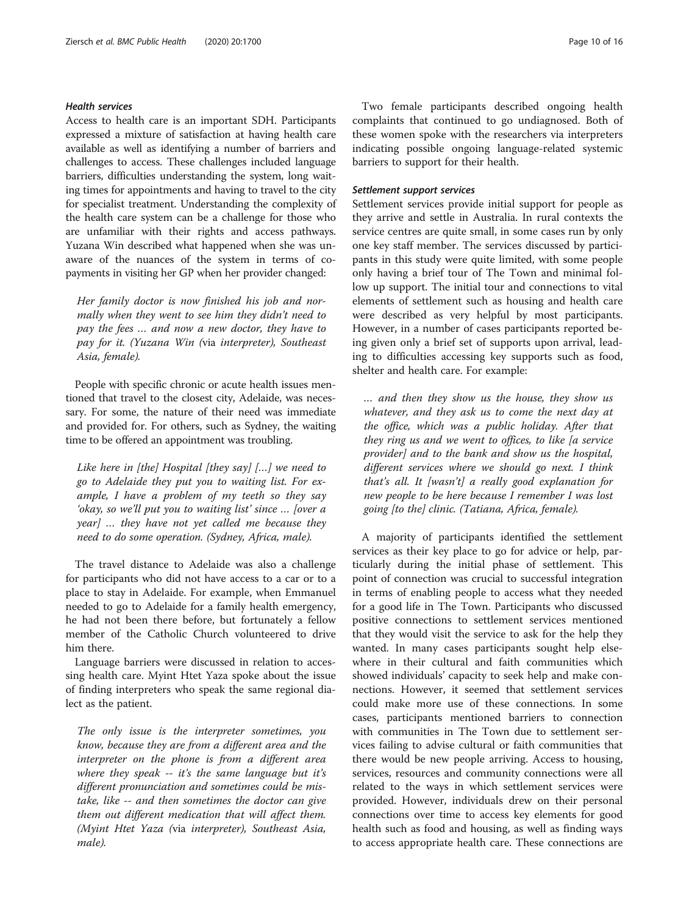# Health services

Access to health care is an important SDH. Participants expressed a mixture of satisfaction at having health care available as well as identifying a number of barriers and challenges to access. These challenges included language barriers, difficulties understanding the system, long waiting times for appointments and having to travel to the city for specialist treatment. Understanding the complexity of the health care system can be a challenge for those who are unfamiliar with their rights and access pathways. Yuzana Win described what happened when she was unaware of the nuances of the system in terms of copayments in visiting her GP when her provider changed:

Her family doctor is now finished his job and normally when they went to see him they didn't need to pay the fees … and now a new doctor, they have to pay for it. (Yuzana Win (via interpreter), Southeast Asia, female).

People with specific chronic or acute health issues mentioned that travel to the closest city, Adelaide, was necessary. For some, the nature of their need was immediate and provided for. For others, such as Sydney, the waiting time to be offered an appointment was troubling.

Like here in [the] Hospital [they say]  $[...]$  we need to go to Adelaide they put you to waiting list. For example, I have a problem of my teeth so they say 'okay, so we'll put you to waiting list' since … [over a year] … they have not yet called me because they need to do some operation. (Sydney, Africa, male).

The travel distance to Adelaide was also a challenge for participants who did not have access to a car or to a place to stay in Adelaide. For example, when Emmanuel needed to go to Adelaide for a family health emergency, he had not been there before, but fortunately a fellow member of the Catholic Church volunteered to drive him there.

Language barriers were discussed in relation to accessing health care. Myint Htet Yaza spoke about the issue of finding interpreters who speak the same regional dialect as the patient.

The only issue is the interpreter sometimes, you know, because they are from a different area and the interpreter on the phone is from a different area where they speak -- it's the same language but it's different pronunciation and sometimes could be mistake, like -- and then sometimes the doctor can give them out different medication that will affect them. (Myint Htet Yaza (via interpreter), Southeast Asia, male).

Two female participants described ongoing health complaints that continued to go undiagnosed. Both of these women spoke with the researchers via interpreters indicating possible ongoing language-related systemic barriers to support for their health.

#### Settlement support services

Settlement services provide initial support for people as they arrive and settle in Australia. In rural contexts the service centres are quite small, in some cases run by only one key staff member. The services discussed by participants in this study were quite limited, with some people only having a brief tour of The Town and minimal follow up support. The initial tour and connections to vital elements of settlement such as housing and health care were described as very helpful by most participants. However, in a number of cases participants reported being given only a brief set of supports upon arrival, leading to difficulties accessing key supports such as food, shelter and health care. For example:

… and then they show us the house, they show us whatever, and they ask us to come the next day at the office, which was a public holiday. After that they ring us and we went to offices, to like [a service provider] and to the bank and show us the hospital, different services where we should go next. I think that's all. It [wasn't] a really good explanation for new people to be here because I remember I was lost going [to the] clinic. (Tatiana, Africa, female).

A majority of participants identified the settlement services as their key place to go for advice or help, particularly during the initial phase of settlement. This point of connection was crucial to successful integration in terms of enabling people to access what they needed for a good life in The Town. Participants who discussed positive connections to settlement services mentioned that they would visit the service to ask for the help they wanted. In many cases participants sought help elsewhere in their cultural and faith communities which showed individuals' capacity to seek help and make connections. However, it seemed that settlement services could make more use of these connections. In some cases, participants mentioned barriers to connection with communities in The Town due to settlement services failing to advise cultural or faith communities that there would be new people arriving. Access to housing, services, resources and community connections were all related to the ways in which settlement services were provided. However, individuals drew on their personal connections over time to access key elements for good health such as food and housing, as well as finding ways to access appropriate health care. These connections are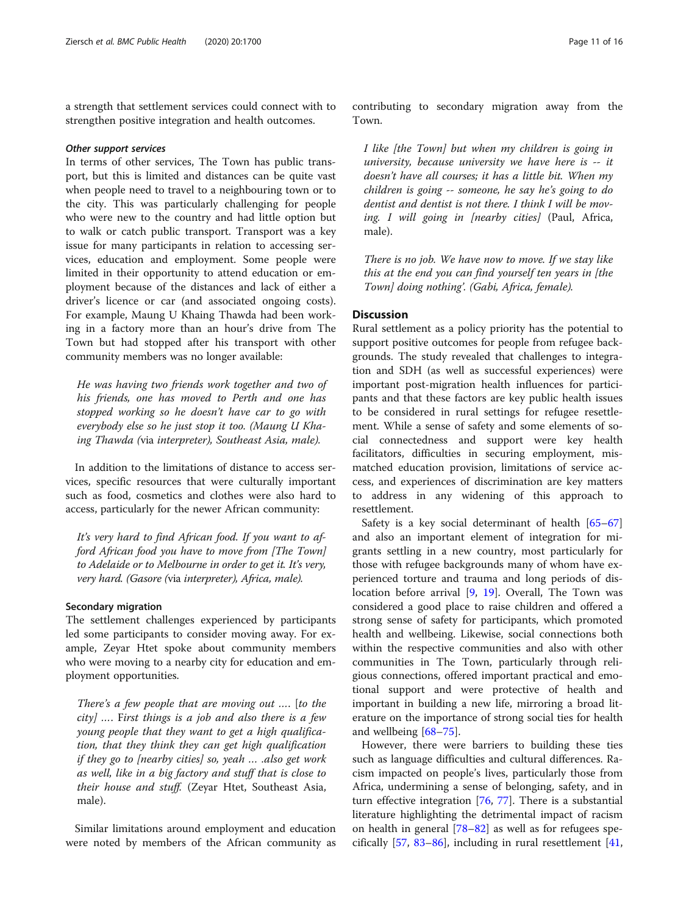a strength that settlement services could connect with to strengthen positive integration and health outcomes.

#### Other support services

In terms of other services, The Town has public transport, but this is limited and distances can be quite vast when people need to travel to a neighbouring town or to the city. This was particularly challenging for people who were new to the country and had little option but to walk or catch public transport. Transport was a key issue for many participants in relation to accessing services, education and employment. Some people were limited in their opportunity to attend education or employment because of the distances and lack of either a driver's licence or car (and associated ongoing costs). For example, Maung U Khaing Thawda had been working in a factory more than an hour's drive from The Town but had stopped after his transport with other community members was no longer available:

He was having two friends work together and two of his friends, one has moved to Perth and one has stopped working so he doesn't have car to go with everybody else so he just stop it too. (Maung U Khaing Thawda (via interpreter), Southeast Asia, male).

In addition to the limitations of distance to access services, specific resources that were culturally important such as food, cosmetics and clothes were also hard to access, particularly for the newer African community:

It's very hard to find African food. If you want to afford African food you have to move from [The Town] to Adelaide or to Melbourne in order to get it. It's very, very hard. (Gasore (via interpreter), Africa, male).

#### Secondary migration

The settlement challenges experienced by participants led some participants to consider moving away. For example, Zeyar Htet spoke about community members who were moving to a nearby city for education and employment opportunities.

There's a few people that are moving out …. [to the city] …. First things is a job and also there is a few young people that they want to get a high qualification, that they think they can get high qualification if they go to [nearby cities] so, yeah … .also get work as well, like in a big factory and stuff that is close to their house and stuff. (Zeyar Htet, Southeast Asia, male).

Similar limitations around employment and education were noted by members of the African community as contributing to secondary migration away from the Town.

I like [the Town] but when my children is going in university, because university we have here is -- it doesn't have all courses; it has a little bit. When my children is going -- someone, he say he's going to do dentist and dentist is not there. I think I will be moving. I will going in [nearby cities] (Paul, Africa, male).

There is no job. We have now to move. If we stay like this at the end you can find yourself ten years in [the Town] doing nothing'. (Gabi, Africa, female).

# **Discussion**

Rural settlement as a policy priority has the potential to support positive outcomes for people from refugee backgrounds. The study revealed that challenges to integration and SDH (as well as successful experiences) were important post-migration health influences for participants and that these factors are key public health issues to be considered in rural settings for refugee resettlement. While a sense of safety and some elements of social connectedness and support were key health facilitators, difficulties in securing employment, mismatched education provision, limitations of service access, and experiences of discrimination are key matters to address in any widening of this approach to resettlement.

Safety is a key social determinant of health [[65](#page-14-0)–[67](#page-14-0)] and also an important element of integration for migrants settling in a new country, most particularly for those with refugee backgrounds many of whom have experienced torture and trauma and long periods of dislocation before arrival [[9,](#page-13-0) [19](#page-13-0)]. Overall, The Town was considered a good place to raise children and offered a strong sense of safety for participants, which promoted health and wellbeing. Likewise, social connections both within the respective communities and also with other communities in The Town, particularly through religious connections, offered important practical and emotional support and were protective of health and important in building a new life, mirroring a broad literature on the importance of strong social ties for health and wellbeing [\[68](#page-14-0)–[75\]](#page-14-0).

However, there were barriers to building these ties such as language difficulties and cultural differences. Racism impacted on people's lives, particularly those from Africa, undermining a sense of belonging, safety, and in turn effective integration [[76](#page-14-0), [77\]](#page-14-0). There is a substantial literature highlighting the detrimental impact of racism on health in general [[78](#page-14-0)–[82](#page-14-0)] as well as for refugees specifically [\[57](#page-14-0), [83](#page-14-0)–[86](#page-14-0)], including in rural resettlement [[41](#page-14-0),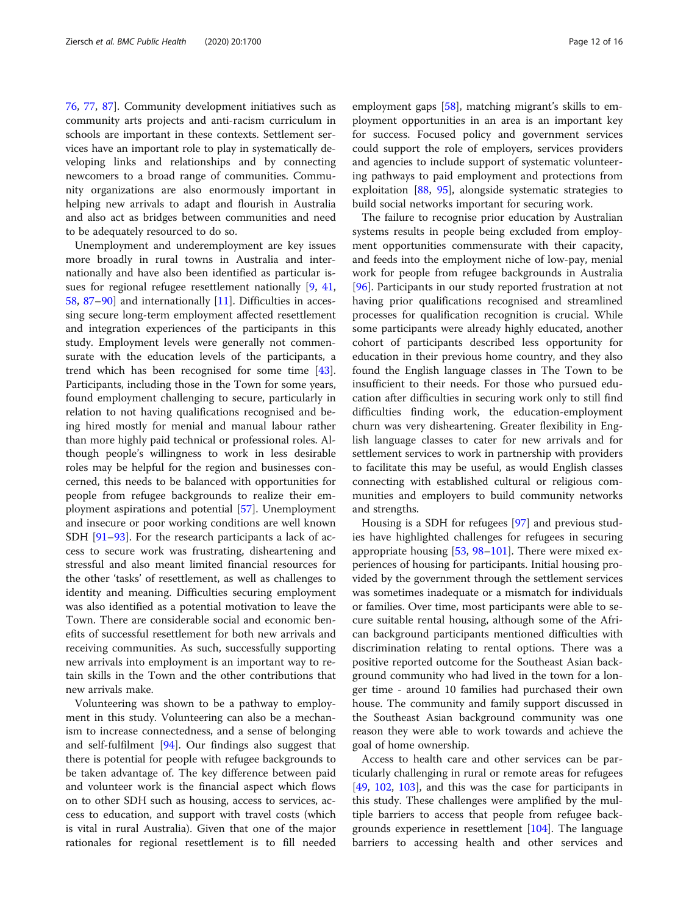[76,](#page-14-0) [77](#page-14-0), [87](#page-15-0)]. Community development initiatives such as community arts projects and anti-racism curriculum in schools are important in these contexts. Settlement services have an important role to play in systematically developing links and relationships and by connecting newcomers to a broad range of communities. Community organizations are also enormously important in helping new arrivals to adapt and flourish in Australia and also act as bridges between communities and need to be adequately resourced to do so.

Unemployment and underemployment are key issues more broadly in rural towns in Australia and internationally and have also been identified as particular issues for regional refugee resettlement nationally [\[9](#page-13-0), [41](#page-14-0), [58,](#page-14-0) [87](#page-15-0)–[90\]](#page-15-0) and internationally [\[11](#page-13-0)]. Difficulties in accessing secure long-term employment affected resettlement and integration experiences of the participants in this study. Employment levels were generally not commensurate with the education levels of the participants, a trend which has been recognised for some time [\[43](#page-14-0)]. Participants, including those in the Town for some years, found employment challenging to secure, particularly in relation to not having qualifications recognised and being hired mostly for menial and manual labour rather than more highly paid technical or professional roles. Although people's willingness to work in less desirable roles may be helpful for the region and businesses concerned, this needs to be balanced with opportunities for people from refugee backgrounds to realize their employment aspirations and potential [\[57\]](#page-14-0). Unemployment and insecure or poor working conditions are well known SDH [[91](#page-15-0)–[93\]](#page-15-0). For the research participants a lack of access to secure work was frustrating, disheartening and stressful and also meant limited financial resources for the other 'tasks' of resettlement, as well as challenges to identity and meaning. Difficulties securing employment was also identified as a potential motivation to leave the Town. There are considerable social and economic benefits of successful resettlement for both new arrivals and receiving communities. As such, successfully supporting new arrivals into employment is an important way to retain skills in the Town and the other contributions that new arrivals make.

Volunteering was shown to be a pathway to employment in this study. Volunteering can also be a mechanism to increase connectedness, and a sense of belonging and self-fulfilment [\[94](#page-15-0)]. Our findings also suggest that there is potential for people with refugee backgrounds to be taken advantage of. The key difference between paid and volunteer work is the financial aspect which flows on to other SDH such as housing, access to services, access to education, and support with travel costs (which is vital in rural Australia). Given that one of the major rationales for regional resettlement is to fill needed employment gaps [\[58](#page-14-0)], matching migrant's skills to employment opportunities in an area is an important key for success. Focused policy and government services could support the role of employers, services providers and agencies to include support of systematic volunteering pathways to paid employment and protections from exploitation [\[88,](#page-15-0) [95\]](#page-15-0), alongside systematic strategies to build social networks important for securing work.

The failure to recognise prior education by Australian systems results in people being excluded from employment opportunities commensurate with their capacity, and feeds into the employment niche of low-pay, menial work for people from refugee backgrounds in Australia [[96\]](#page-15-0). Participants in our study reported frustration at not having prior qualifications recognised and streamlined processes for qualification recognition is crucial. While some participants were already highly educated, another cohort of participants described less opportunity for education in their previous home country, and they also found the English language classes in The Town to be insufficient to their needs. For those who pursued education after difficulties in securing work only to still find difficulties finding work, the education-employment churn was very disheartening. Greater flexibility in English language classes to cater for new arrivals and for settlement services to work in partnership with providers to facilitate this may be useful, as would English classes connecting with established cultural or religious communities and employers to build community networks and strengths.

Housing is a SDH for refugees [\[97](#page-15-0)] and previous studies have highlighted challenges for refugees in securing appropriate housing [\[53](#page-14-0), [98](#page-15-0)–[101](#page-15-0)]. There were mixed experiences of housing for participants. Initial housing provided by the government through the settlement services was sometimes inadequate or a mismatch for individuals or families. Over time, most participants were able to secure suitable rental housing, although some of the African background participants mentioned difficulties with discrimination relating to rental options. There was a positive reported outcome for the Southeast Asian background community who had lived in the town for a longer time - around 10 families had purchased their own house. The community and family support discussed in the Southeast Asian background community was one reason they were able to work towards and achieve the goal of home ownership.

Access to health care and other services can be particularly challenging in rural or remote areas for refugees [[49,](#page-14-0) [102,](#page-15-0) [103](#page-15-0)], and this was the case for participants in this study. These challenges were amplified by the multiple barriers to access that people from refugee backgrounds experience in resettlement [[104](#page-15-0)]. The language barriers to accessing health and other services and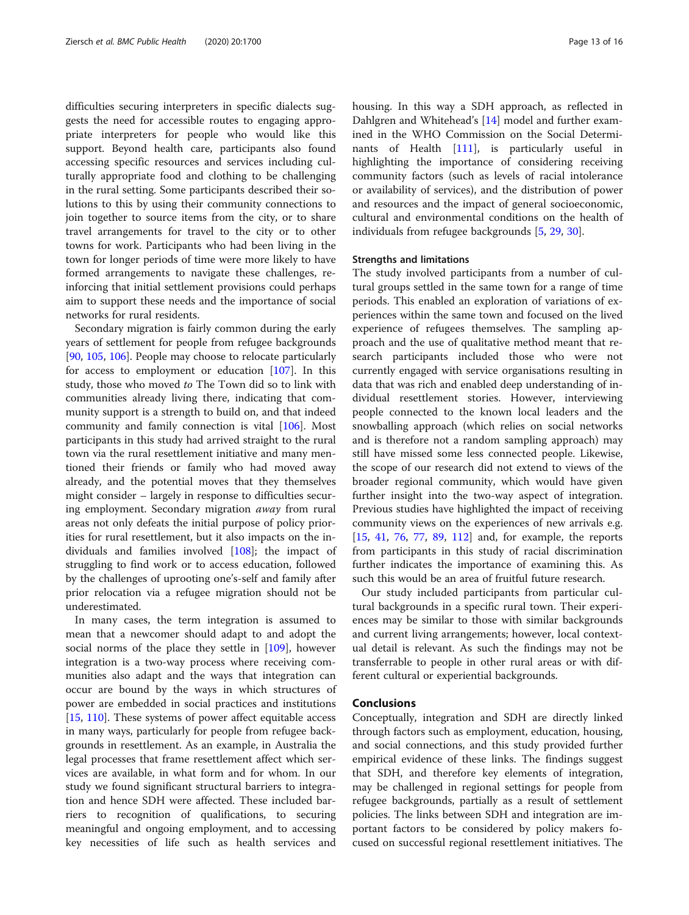difficulties securing interpreters in specific dialects suggests the need for accessible routes to engaging appropriate interpreters for people who would like this support. Beyond health care, participants also found accessing specific resources and services including culturally appropriate food and clothing to be challenging in the rural setting. Some participants described their solutions to this by using their community connections to join together to source items from the city, or to share travel arrangements for travel to the city or to other towns for work. Participants who had been living in the town for longer periods of time were more likely to have formed arrangements to navigate these challenges, reinforcing that initial settlement provisions could perhaps aim to support these needs and the importance of social networks for rural residents.

Secondary migration is fairly common during the early years of settlement for people from refugee backgrounds [[90,](#page-15-0) [105](#page-15-0), [106](#page-15-0)]. People may choose to relocate particularly for access to employment or education [\[107](#page-15-0)]. In this study, those who moved to The Town did so to link with communities already living there, indicating that community support is a strength to build on, and that indeed community and family connection is vital [[106](#page-15-0)]. Most participants in this study had arrived straight to the rural town via the rural resettlement initiative and many mentioned their friends or family who had moved away already, and the potential moves that they themselves might consider – largely in response to difficulties securing employment. Secondary migration away from rural areas not only defeats the initial purpose of policy priorities for rural resettlement, but it also impacts on the individuals and families involved [\[108](#page-15-0)]; the impact of struggling to find work or to access education, followed by the challenges of uprooting one's-self and family after prior relocation via a refugee migration should not be underestimated.

In many cases, the term integration is assumed to mean that a newcomer should adapt to and adopt the social norms of the place they settle in [[109\]](#page-15-0), however integration is a two-way process where receiving communities also adapt and the ways that integration can occur are bound by the ways in which structures of power are embedded in social practices and institutions [[15,](#page-13-0) [110\]](#page-15-0). These systems of power affect equitable access in many ways, particularly for people from refugee backgrounds in resettlement. As an example, in Australia the legal processes that frame resettlement affect which services are available, in what form and for whom. In our study we found significant structural barriers to integration and hence SDH were affected. These included barriers to recognition of qualifications, to securing meaningful and ongoing employment, and to accessing key necessities of life such as health services and housing. In this way a SDH approach, as reflected in Dahlgren and Whitehead's [[14\]](#page-13-0) model and further examined in the WHO Commission on the Social Determinants of Health [[111](#page-15-0)], is particularly useful in highlighting the importance of considering receiving community factors (such as levels of racial intolerance or availability of services), and the distribution of power and resources and the impact of general socioeconomic, cultural and environmental conditions on the health of individuals from refugee backgrounds [\[5](#page-13-0), [29](#page-13-0), [30](#page-13-0)].

### Strengths and limitations

The study involved participants from a number of cultural groups settled in the same town for a range of time periods. This enabled an exploration of variations of experiences within the same town and focused on the lived experience of refugees themselves. The sampling approach and the use of qualitative method meant that research participants included those who were not currently engaged with service organisations resulting in data that was rich and enabled deep understanding of individual resettlement stories. However, interviewing people connected to the known local leaders and the snowballing approach (which relies on social networks and is therefore not a random sampling approach) may still have missed some less connected people. Likewise, the scope of our research did not extend to views of the broader regional community, which would have given further insight into the two-way aspect of integration. Previous studies have highlighted the impact of receiving community views on the experiences of new arrivals e.g. [[15,](#page-13-0) [41](#page-14-0), [76,](#page-14-0) [77](#page-14-0), [89,](#page-15-0) [112](#page-15-0)] and, for example, the reports from participants in this study of racial discrimination further indicates the importance of examining this. As such this would be an area of fruitful future research.

Our study included participants from particular cultural backgrounds in a specific rural town. Their experiences may be similar to those with similar backgrounds and current living arrangements; however, local contextual detail is relevant. As such the findings may not be transferrable to people in other rural areas or with different cultural or experiential backgrounds.

### Conclusions

Conceptually, integration and SDH are directly linked through factors such as employment, education, housing, and social connections, and this study provided further empirical evidence of these links. The findings suggest that SDH, and therefore key elements of integration, may be challenged in regional settings for people from refugee backgrounds, partially as a result of settlement policies. The links between SDH and integration are important factors to be considered by policy makers focused on successful regional resettlement initiatives. The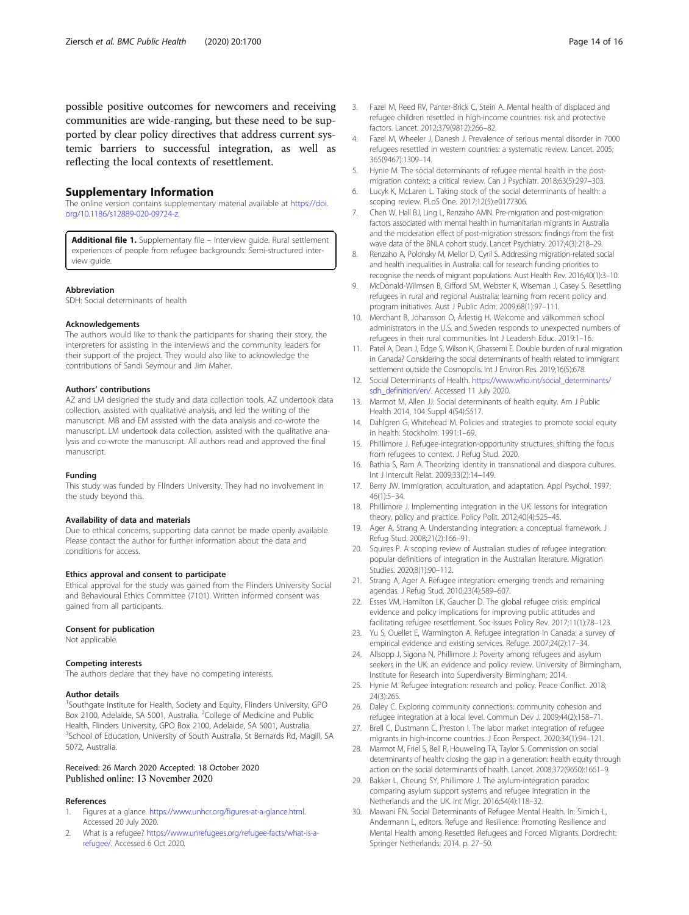<span id="page-13-0"></span>possible positive outcomes for newcomers and receiving communities are wide-ranging, but these need to be supported by clear policy directives that address current systemic barriers to successful integration, as well as reflecting the local contexts of resettlement.

#### Supplementary Information

The online version contains supplementary material available at [https://doi.](https://doi.org/10.1186/s12889-020-09724-z) [org/10.1186/s12889-020-09724-z.](https://doi.org/10.1186/s12889-020-09724-z)

Additional file 1. Supplementary file – Interview guide. Rural settlement experiences of people from refugee backgrounds: Semi-structured interview guide.

#### Abbreviation

SDH: Social determinants of health

#### Acknowledgements

The authors would like to thank the participants for sharing their story, the interpreters for assisting in the interviews and the community leaders for their support of the project. They would also like to acknowledge the contributions of Sandi Seymour and Jim Maher.

#### Authors' contributions

AZ and LM designed the study and data collection tools. AZ undertook data collection, assisted with qualitative analysis, and led the writing of the manuscript. MB and EM assisted with the data analysis and co-wrote the manuscript. LM undertook data collection, assisted with the qualitative analysis and co-wrote the manuscript. All authors read and approved the final manuscript.

#### Funding

This study was funded by Flinders University. They had no involvement in the study beyond this.

#### Availability of data and materials

Due to ethical concerns, supporting data cannot be made openly available. Please contact the author for further information about the data and conditions for access.

### Ethics approval and consent to participate

Ethical approval for the study was gained from the Flinders University Social and Behavioural Ethics Committee (7101). Written informed consent was gained from all participants.

#### Consent for publication

Not applicable.

#### Competing interests

The authors declare that they have no competing interests.

#### Author details

<sup>1</sup>Southgate Institute for Health, Society and Equity, Flinders University, GPO Box 2100, Adelaide, SA 5001, Australia. <sup>2</sup>College of Medicine and Public Health, Flinders University, GPO Box 2100, Adelaide, SA 5001, Australia. <sup>3</sup>School of Education, University of South Australia, St Bernards Rd, Magill, SA 5072, Australia.

#### Received: 26 March 2020 Accepted: 18 October 2020 Published online: 13 November 2020

#### References

- 1. Figures at a glance. <https://www.unhcr.org/figures-at-a-glance.html>. Accessed 20 July 2020.
- What is a refugee? [https://www.unrefugees.org/refugee-facts/what-is-a](https://www.unrefugees.org/refugee-facts/what-is-a-refugee/)[refugee/.](https://www.unrefugees.org/refugee-facts/what-is-a-refugee/) Accessed 6 Oct 2020.
- 4. Fazel M, Wheeler J, Danesh J. Prevalence of serious mental disorder in 7000 refugees resettled in western countries: a systematic review. Lancet. 2005; 365(9467):1309–14.
- 5. Hynie M. The social determinants of refugee mental health in the postmigration context: a critical review. Can J Psychiatr. 2018;63(5):297–303.
- 6. Lucyk K, McLaren L. Taking stock of the social determinants of health: a scoping review. PLoS One. 2017;12(5):e0177306.
- 7. Chen W, Hall BJ, Ling L, Renzaho AMN. Pre-migration and post-migration factors associated with mental health in humanitarian migrants in Australia and the moderation effect of post-migration stressors: findings from the first wave data of the BNLA cohort study. Lancet Psychiatry. 2017;4(3):218–29.
- 8. Renzaho A, Polonsky M, Mellor D, Cyril S. Addressing migration-related social and health inequalities in Australia: call for research funding priorities to recognise the needs of migrant populations. Aust Health Rev. 2016;40(1):3–10.
- 9. McDonald-Wilmsen B, Gifford SM, Webster K, Wiseman J, Casey S. Resettling refugees in rural and regional Australia: learning from recent policy and program initiatives. Aust J Public Adm. 2009;68(1):97–111.
- 10. Merchant B, Johansson O, Ärlestig H. Welcome and välkommen school administrators in the U.S. and Sweden responds to unexpected numbers of refugees in their rural communities. Int J Leadersh Educ. 2019:1–16.
- 11. Patel A, Dean J, Edge S, Wilson K, Ghassemi E. Double burden of rural migration in Canada? Considering the social determinants of health related to immigrant settlement outside the Cosmopolis. Int J Environ Res. 2019;16(5):678.
- 12. Social Determinants of Health. [https://www.who.int/social\\_determinants/](https://www.who.int/social_determinants/sdh_definition/en/) [sdh\\_definition/en/.](https://www.who.int/social_determinants/sdh_definition/en/) Accessed 11 July 2020.
- 13. Marmot M, Allen JJ: Social determinants of health equity. Am J Public Health 2014, 104 Suppl 4(S4):S517.
- 14. Dahlgren G, Whitehead M. Policies and strategies to promote social equity in health. Stockholm. 1991:1–69.
- 15. Phillimore J. Refugee-integration-opportunity structures: shifting the focus from refugees to context. J Refug Stud. 2020.
- 16. Bathia S, Ram A. Theorizing identity in transnational and diaspora cultures. Int J Intercult Relat. 2009;33(2):14–149.
- 17. Berry JW. Immigration, acculturation, and adaptation. Appl Psychol. 1997; 46(1):5–34.
- 18. Phillimore J. Implementing integration in the UK: lessons for integration theory, policy and practice. Policy Polit. 2012;40(4):525–45.
- 19. Ager A, Strang A. Understanding integration: a conceptual framework. J Refug Stud. 2008;21(2):166–91.
- 20. Squires P. A scoping review of Australian studies of refugee integration: popular definitions of integration in the Australian literature. Migration Studies. 2020;8(1):90–112.
- 21. Strang A, Ager A. Refugee integration: emerging trends and remaining agendas. J Refug Stud. 2010;23(4):589–607.
- 22. Esses VM, Hamilton LK, Gaucher D. The global refugee crisis: empirical evidence and policy implications for improving public attitudes and facilitating refugee resettlement. Soc Issues Policy Rev. 2017;11(1):78–123.
- 23. Yu S, Ouellet E, Warmington A. Refugee integration in Canada: a survey of empirical evidence and existing services. Refuge. 2007;24(2):17–34.
- 24. Allsopp J, Sigona N, Phillimore J: Poverty among refugees and asylum seekers in the UK: an evidence and policy review. University of Birmingham, Institute for Research into Superdiversity Birmingham; 2014.
- 25. Hynie M. Refugee integration: research and policy. Peace Conflict. 2018; 24(3):265.
- 26. Daley C. Exploring community connections: community cohesion and refugee integration at a local level. Commun Dev J. 2009;44(2):158–71.
- 27. Brell C, Dustmann C, Preston I. The labor market integration of refugee migrants in high-income countries. J Econ Perspect. 2020;34(1):94–121.
- 28. Marmot M, Friel S, Bell R, Houweling TA, Taylor S. Commission on social determinants of health: closing the gap in a generation: health equity through action on the social determinants of health. Lancet. 2008;372(9650):1661–9.
- 29. Bakker L, Cheung SY, Phillimore J. The asylum-integration paradox: comparing asylum support systems and refugee integration in the Netherlands and the UK. Int Migr. 2016;54(4):118–32.
- 30. Mawani FN. Social Determinants of Refugee Mental Health. In: Simich L, Andermann L, editors. Refuge and Resilience: Promoting Resilience and Mental Health among Resettled Refugees and Forced Migrants. Dordrecht: Springer Netherlands; 2014. p. 27–50.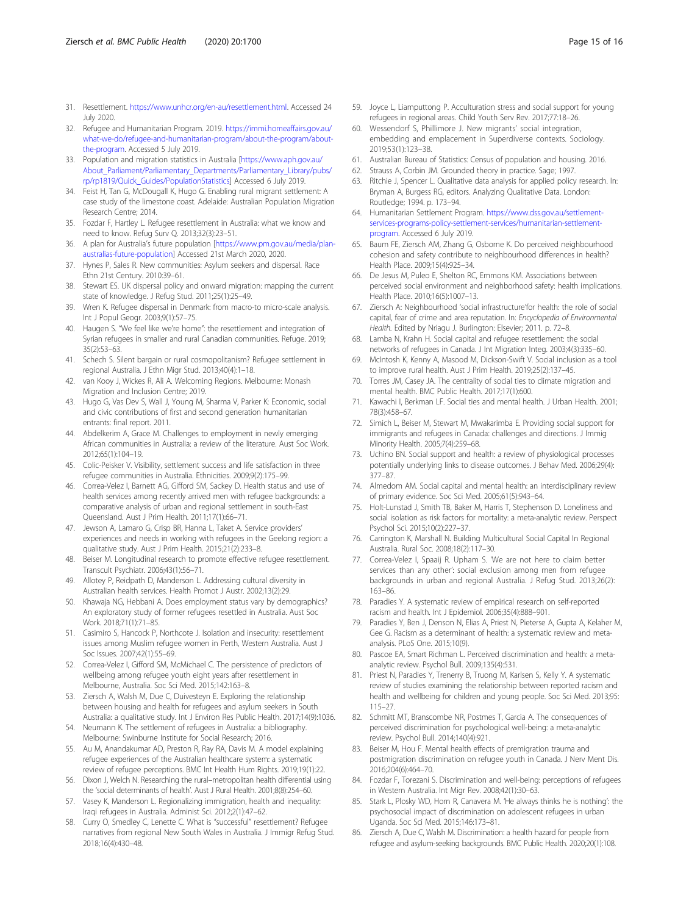- <span id="page-14-0"></span>31. Resettlement. <https://www.unhcr.org/en-au/resettlement.html>. Accessed 24 July 2020.
- 32. Refugee and Humanitarian Program. 2019. [https://immi.homeaffairs.gov.au/](https://immi.homeaffairs.gov.au/what-we-do/refugee-and-humanitarian-program/about-the-program/about-the-program) [what-we-do/refugee-and-humanitarian-program/about-the-program/about](https://immi.homeaffairs.gov.au/what-we-do/refugee-and-humanitarian-program/about-the-program/about-the-program)[the-program.](https://immi.homeaffairs.gov.au/what-we-do/refugee-and-humanitarian-program/about-the-program/about-the-program) Accessed 5 July 2019.
- 33. Population and migration statistics in Australia [\[https://www.aph.gov.au/](https://www.aph.gov.au/About_Parliament/Parliamentary_Departments/Parliamentary_Library/pubs/rp/rp1819/Quick_Guides/PopulationStatistics) [About\\_Parliament/Parliamentary\\_Departments/Parliamentary\\_Library/pubs/](https://www.aph.gov.au/About_Parliament/Parliamentary_Departments/Parliamentary_Library/pubs/rp/rp1819/Quick_Guides/PopulationStatistics) [rp/rp1819/Quick\\_Guides/PopulationStatistics\]](https://www.aph.gov.au/About_Parliament/Parliamentary_Departments/Parliamentary_Library/pubs/rp/rp1819/Quick_Guides/PopulationStatistics) Accessed 6 July 2019.
- 34. Feist H, Tan G, McDougall K, Hugo G. Enabling rural migrant settlement: A case study of the limestone coast. Adelaide: Australian Population Migration Research Centre; 2014.
- 35. Fozdar F, Hartley L. Refugee resettlement in Australia: what we know and need to know. Refug Surv Q. 2013;32(3):23–51.
- 36. A plan for Australia's future population [\[https://www.pm.gov.au/media/plan](https://www.pm.gov.au/media/plan-australias-future-population)[australias-future-population](https://www.pm.gov.au/media/plan-australias-future-population)] Accessed 21st March 2020, 2020.
- 37. Hynes P, Sales R. New communities: Asylum seekers and dispersal. Race Ethn 21st Century. 2010:39–61.
- 38. Stewart ES. UK dispersal policy and onward migration: mapping the current state of knowledge. J Refug Stud. 2011;25(1):25–49.
- 39. Wren K. Refugee dispersal in Denmark: from macro-to micro-scale analysis. Int J Popul Geogr. 2003;9(1):57–75.
- 40. Haugen S. "We feel like we're home": the resettlement and integration of Syrian refugees in smaller and rural Canadian communities. Refuge. 2019; 35(2):53–63.
- 41. Schech S. Silent bargain or rural cosmopolitanism? Refugee settlement in regional Australia. J Ethn Migr Stud. 2013;40(4):1–18.
- 42. van Kooy J, Wickes R, Ali A. Welcoming Regions. Melbourne: Monash Migration and Inclusion Centre; 2019.
- 43. Hugo G, Vas Dev S, Wall J, Young M, Sharma V, Parker K: Economic, social and civic contributions of first and second generation humanitarian entrants: final report. 2011.
- 44. Abdelkerim A, Grace M. Challenges to employment in newly emerging African communities in Australia: a review of the literature. Aust Soc Work. 2012;65(1):104–19.
- 45. Colic-Peisker V. Visibility, settlement success and life satisfaction in three refugee communities in Australia. Ethnicities. 2009;9(2):175–99.
- 46. Correa-Velez I, Barnett AG, Gifford SM, Sackey D. Health status and use of health services among recently arrived men with refugee backgrounds: a comparative analysis of urban and regional settlement in south-East Queensland. Aust J Prim Health. 2011;17(1):66–71.
- 47. Jewson A, Lamaro G, Crisp BR, Hanna L, Taket A. Service providers' experiences and needs in working with refugees in the Geelong region: a qualitative study. Aust J Prim Health. 2015;21(2):233–8.
- 48. Beiser M. Longitudinal research to promote effective refugee resettlement. Transcult Psychiatr. 2006;43(1):56–71.
- 49. Allotey P, Reidpath D, Manderson L. Addressing cultural diversity in Australian health services. Health Promot J Austr. 2002;13(2):29.
- 50. Khawaja NG, Hebbani A. Does employment status vary by demographics? An exploratory study of former refugees resettled in Australia. Aust Soc Work. 2018;71(1):71–85.
- 51. Casimiro S, Hancock P, Northcote J. Isolation and insecurity: resettlement issues among Muslim refugee women in Perth, Western Australia. Aust J Soc Issues. 2007;42(1):55–69.
- 52. Correa-Velez I, Gifford SM, McMichael C. The persistence of predictors of wellbeing among refugee youth eight years after resettlement in Melbourne, Australia. Soc Sci Med. 2015;142:163–8.
- 53. Ziersch A, Walsh M, Due C, Duivesteyn E. Exploring the relationship between housing and health for refugees and asylum seekers in South Australia: a qualitative study. Int J Environ Res Public Health. 2017;14(9):1036.
- 54. Neumann K. The settlement of refugees in Australia: a bibliography. Melbourne: Swinburne Institute for Social Research; 2016.
- 55. Au M, Anandakumar AD, Preston R, Ray RA, Davis M. A model explaining refugee experiences of the Australian healthcare system: a systematic review of refugee perceptions. BMC Int Health Hum Rights. 2019;19(1):22.
- 56. Dixon J, Welch N. Researching the rural–metropolitan health differential using the 'social determinants of health'. Aust J Rural Health. 2001;8(8):254–60.
- 57. Vasey K, Manderson L. Regionalizing immigration, health and inequality: Iraqi refugees in Australia. Administ Sci. 2012;2(1):47–62.
- 58. Curry O, Smedley C, Lenette C. What is "successful" resettlement? Refugee narratives from regional New South Wales in Australia. J Immigr Refug Stud. 2018;16(4):430–48.
- 59. Joyce L, Liamputtong P. Acculturation stress and social support for young refugees in regional areas. Child Youth Serv Rev. 2017;77:18–26.
- 60. Wessendorf S, Phillimore J. New migrants' social integration, embedding and emplacement in Superdiverse contexts. Sociology. 2019;53(1):123–38.
- 61. Australian Bureau of Statistics: Census of population and housing. 2016.
- 62. Strauss A, Corbin JM. Grounded theory in practice. Sage; 1997.
- 63. Ritchie J, Spencer L. Qualitative data analysis for applied policy research. In: Bryman A, Burgess RG, editors. Analyzing Qualitative Data. London: Routledge; 1994. p. 173–94.
- 64. Humanitarian Settlement Program. [https://www.dss.gov.au/settlement](https://www.dss.gov.au/settlement-services-programs-policy-settlement-services/humanitarian-settlement-program)[services-programs-policy-settlement-services/humanitarian-settlement](https://www.dss.gov.au/settlement-services-programs-policy-settlement-services/humanitarian-settlement-program)[program](https://www.dss.gov.au/settlement-services-programs-policy-settlement-services/humanitarian-settlement-program). Accessed 6 July 2019.
- 65. Baum FE, Ziersch AM, Zhang G, Osborne K. Do perceived neighbourhood cohesion and safety contribute to neighbourhood differences in health? Health Place. 2009;15(4):925–34.
- 66. De Jesus M, Puleo E, Shelton RC, Emmons KM. Associations between perceived social environment and neighborhood safety: health implications. Health Place. 2010;16(5):1007–13.
- 67. Ziersch A: Neighbourhood 'social infrastructure'for health: the role of social capital, fear of crime and area reputation. In: Encyclopedia of Environmental Health. Edited by Nriagu J. Burlington: Elsevier; 2011. p. 72–8.
- 68. Lamba N, Krahn H. Social capital and refugee resettlement: the social networks of refugees in Canada. J Int Migration Integ. 2003;4(3):335–60.
- McIntosh K, Kenny A, Masood M, Dickson-Swift V. Social inclusion as a tool to improve rural health. Aust J Prim Health. 2019;25(2):137–45.
- 70. Torres JM, Casey JA. The centrality of social ties to climate migration and mental health. BMC Public Health. 2017;17(1):600.
- 71. Kawachi I, Berkman LF. Social ties and mental health. J Urban Health. 2001; 78(3):458–67.
- 72. Simich L, Beiser M, Stewart M, Mwakarimba E. Providing social support for immigrants and refugees in Canada: challenges and directions. J Immig Minority Health. 2005;7(4):259–68.
- 73. Uchino BN. Social support and health: a review of physiological processes potentially underlying links to disease outcomes. J Behav Med. 2006;29(4): 377–87.
- 74. Almedom AM. Social capital and mental health: an interdisciplinary review of primary evidence. Soc Sci Med. 2005;61(5):943–64.
- 75. Holt-Lunstad J, Smith TB, Baker M, Harris T, Stephenson D. Loneliness and social isolation as risk factors for mortality: a meta-analytic review. Perspect Psychol Sci. 2015;10(2):227–37.
- 76. Carrington K, Marshall N. Building Multicultural Social Capital In Regional Australia. Rural Soc. 2008;18(2):117–30.
- 77. Correa-Velez I, Spaaij R. Upham S. 'We are not here to claim better services than any other': social exclusion among men from refugee backgrounds in urban and regional Australia. J Refug Stud. 2013;26(2): 163–86.
- 78. Paradies Y. A systematic review of empirical research on self-reported racism and health. Int J Epidemiol. 2006;35(4):888–901.
- 79. Paradies Y, Ben J, Denson N, Elias A, Priest N, Pieterse A, Gupta A, Kelaher M, Gee G. Racism as a determinant of health: a systematic review and metaanalysis. PLoS One. 2015;10(9).
- 80. Pascoe EA, Smart Richman L. Perceived discrimination and health: a metaanalytic review. Psychol Bull. 2009;135(4):531.
- 81. Priest N, Paradies Y, Trenerry B, Truong M, Karlsen S, Kelly Y. A systematic review of studies examining the relationship between reported racism and health and wellbeing for children and young people. Soc Sci Med. 2013;95: 115–27.
- 82. Schmitt MT, Branscombe NR, Postmes T, Garcia A. The consequences of perceived discrimination for psychological well-being: a meta-analytic review. Psychol Bull. 2014;140(4):921.
- 83. Beiser M, Hou F. Mental health effects of premigration trauma and postmigration discrimination on refugee youth in Canada. J Nerv Ment Dis. 2016;204(6):464–70.
- 84. Fozdar F, Torezani S. Discrimination and well-being: perceptions of refugees in Western Australia. Int Migr Rev. 2008;42(1):30-63.
- 85. Stark L, Plosky WD, Horn R, Canavera M. 'He always thinks he is nothing': the psychosocial impact of discrimination on adolescent refugees in urban Uganda. Soc Sci Med. 2015;146:173–81.
- 86. Ziersch A, Due C, Walsh M. Discrimination: a health hazard for people from refugee and asylum-seeking backgrounds. BMC Public Health. 2020;20(1):108.